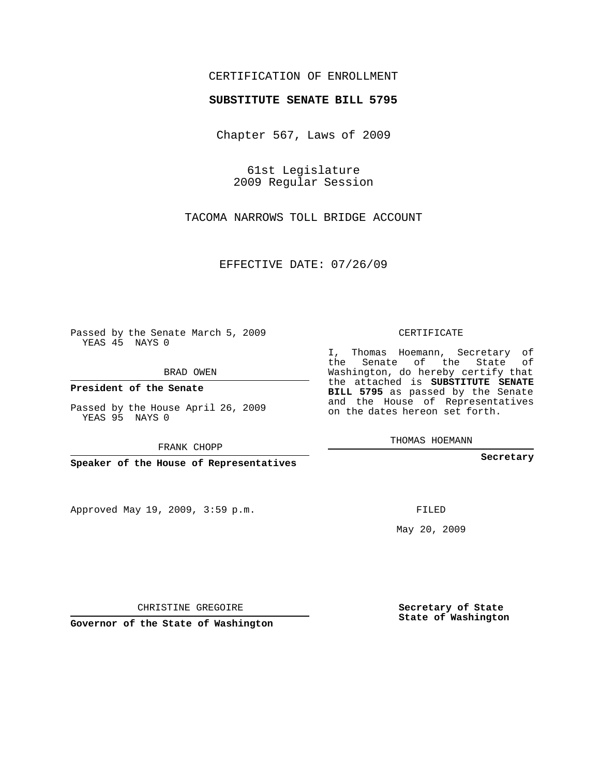## CERTIFICATION OF ENROLLMENT

## **SUBSTITUTE SENATE BILL 5795**

Chapter 567, Laws of 2009

61st Legislature 2009 Regular Session

TACOMA NARROWS TOLL BRIDGE ACCOUNT

EFFECTIVE DATE: 07/26/09

Passed by the Senate March 5, 2009 YEAS 45 NAYS 0

BRAD OWEN

**President of the Senate**

Passed by the House April 26, 2009 YEAS 95 NAYS 0

FRANK CHOPP

**Speaker of the House of Representatives**

Approved May 19, 2009, 3:59 p.m.

CERTIFICATE

I, Thomas Hoemann, Secretary of the Senate of the State of Washington, do hereby certify that the attached is **SUBSTITUTE SENATE BILL 5795** as passed by the Senate and the House of Representatives on the dates hereon set forth.

THOMAS HOEMANN

**Secretary**

FILED

May 20, 2009

**Secretary of State State of Washington**

CHRISTINE GREGOIRE

**Governor of the State of Washington**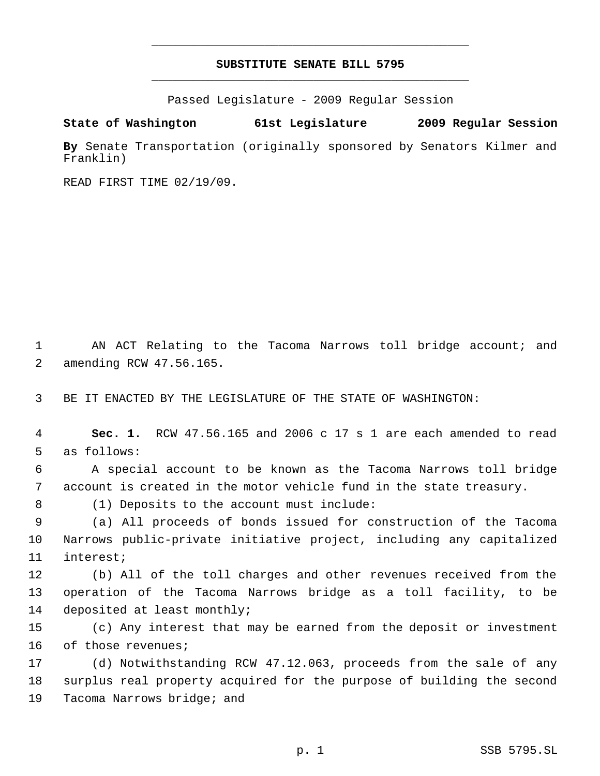## **SUBSTITUTE SENATE BILL 5795** \_\_\_\_\_\_\_\_\_\_\_\_\_\_\_\_\_\_\_\_\_\_\_\_\_\_\_\_\_\_\_\_\_\_\_\_\_\_\_\_\_\_\_\_\_

\_\_\_\_\_\_\_\_\_\_\_\_\_\_\_\_\_\_\_\_\_\_\_\_\_\_\_\_\_\_\_\_\_\_\_\_\_\_\_\_\_\_\_\_\_

Passed Legislature - 2009 Regular Session

**State of Washington 61st Legislature 2009 Regular Session**

**By** Senate Transportation (originally sponsored by Senators Kilmer and Franklin)

READ FIRST TIME 02/19/09.

1 AN ACT Relating to the Tacoma Narrows toll bridge account; and amending RCW 47.56.165.

BE IT ENACTED BY THE LEGISLATURE OF THE STATE OF WASHINGTON:

 **Sec. 1.** RCW 47.56.165 and 2006 c 17 s 1 are each amended to read as follows:

 A special account to be known as the Tacoma Narrows toll bridge account is created in the motor vehicle fund in the state treasury.

(1) Deposits to the account must include:

 (a) All proceeds of bonds issued for construction of the Tacoma Narrows public-private initiative project, including any capitalized interest;

 (b) All of the toll charges and other revenues received from the operation of the Tacoma Narrows bridge as a toll facility, to be deposited at least monthly;

 (c) Any interest that may be earned from the deposit or investment of those revenues;

 (d) Notwithstanding RCW 47.12.063, proceeds from the sale of any surplus real property acquired for the purpose of building the second Tacoma Narrows bridge; and